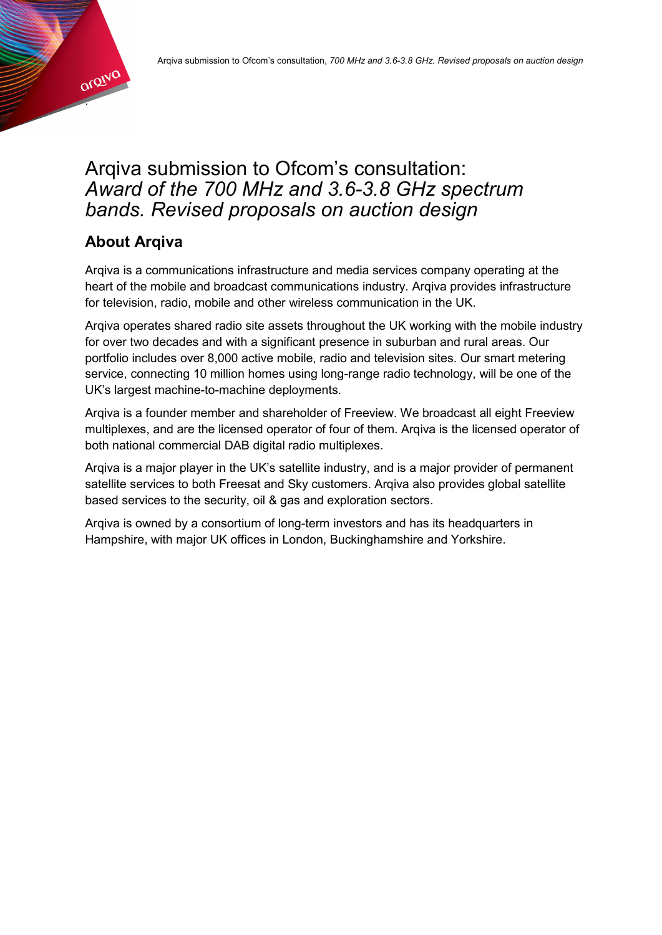

## Arqiva submission to Ofcom's consultation: *Award of the 700 MHz and 3.6-3.8 GHz spectrum bands. Revised proposals on auction design*

## **About Arqiva**

Arqiva is a communications infrastructure and media services company operating at the heart of the mobile and broadcast communications industry. Arqiva provides infrastructure for television, radio, mobile and other wireless communication in the UK.

Arqiva operates shared radio site assets throughout the UK working with the mobile industry for over two decades and with a significant presence in suburban and rural areas. Our portfolio includes over 8,000 active mobile, radio and television sites. Our smart metering service, connecting 10 million homes using long-range radio technology, will be one of the UK's largest machine-to-machine deployments.

Arqiva is a founder member and shareholder of Freeview. We broadcast all eight Freeview multiplexes, and are the licensed operator of four of them. Arqiva is the licensed operator of both national commercial DAB digital radio multiplexes.

Arqiva is a major player in the UK's satellite industry, and is a major provider of permanent satellite services to both Freesat and Sky customers. Arqiva also provides global satellite based services to the security, oil & gas and exploration sectors.

Arqiva is owned by a consortium of long-term investors and has its headquarters in Hampshire, with major UK offices in London, Buckinghamshire and Yorkshire.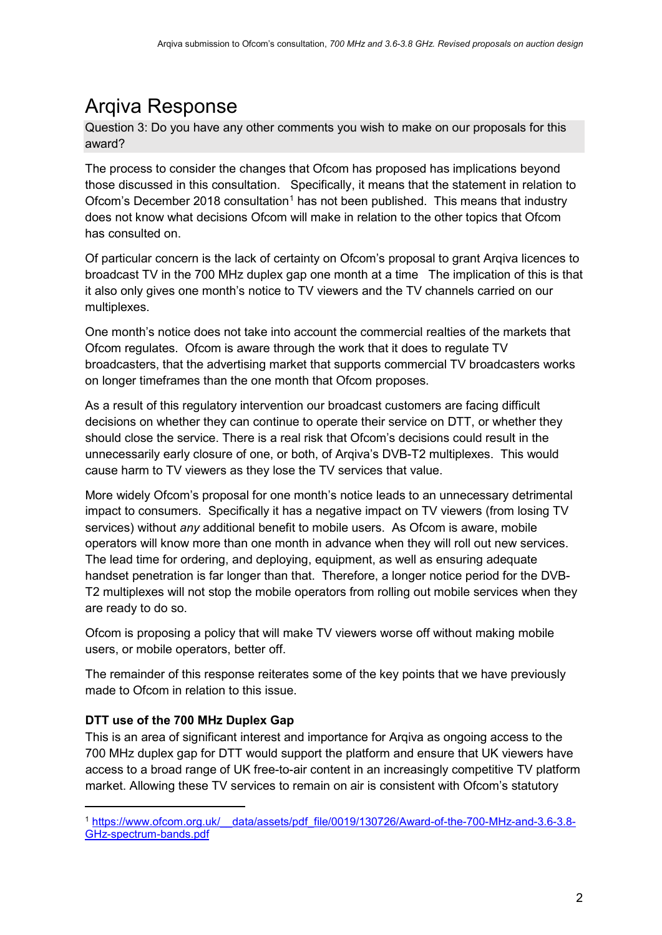## Arqiva Response

Question 3: Do you have any other comments you wish to make on our proposals for this award?

The process to consider the changes that Ofcom has proposed has implications beyond those discussed in this consultation. Specifically, it means that the statement in relation to Ofcom's December 20[1](#page-1-0)8 consultation<sup>1</sup> has not been published. This means that industry does not know what decisions Ofcom will make in relation to the other topics that Ofcom has consulted on.

Of particular concern is the lack of certainty on Ofcom's proposal to grant Arqiva licences to broadcast TV in the 700 MHz duplex gap one month at a time The implication of this is that it also only gives one month's notice to TV viewers and the TV channels carried on our multiplexes.

One month's notice does not take into account the commercial realties of the markets that Ofcom regulates. Ofcom is aware through the work that it does to regulate TV broadcasters, that the advertising market that supports commercial TV broadcasters works on longer timeframes than the one month that Ofcom proposes.

As a result of this regulatory intervention our broadcast customers are facing difficult decisions on whether they can continue to operate their service on DTT, or whether they should close the service. There is a real risk that Ofcom's decisions could result in the unnecessarily early closure of one, or both, of Arqiva's DVB-T2 multiplexes. This would cause harm to TV viewers as they lose the TV services that value.

More widely Ofcom's proposal for one month's notice leads to an unnecessary detrimental impact to consumers. Specifically it has a negative impact on TV viewers (from losing TV services) without *any* additional benefit to mobile users. As Ofcom is aware, mobile operators will know more than one month in advance when they will roll out new services. The lead time for ordering, and deploying, equipment, as well as ensuring adequate handset penetration is far longer than that. Therefore, a longer notice period for the DVB-T2 multiplexes will not stop the mobile operators from rolling out mobile services when they are ready to do so.

Ofcom is proposing a policy that will make TV viewers worse off without making mobile users, or mobile operators, better off.

The remainder of this response reiterates some of the key points that we have previously made to Ofcom in relation to this issue.

## **DTT use of the 700 MHz Duplex Gap**

-

This is an area of significant interest and importance for Arqiva as ongoing access to the 700 MHz duplex gap for DTT would support the platform and ensure that UK viewers have access to a broad range of UK free-to-air content in an increasingly competitive TV platform market. Allowing these TV services to remain on air is consistent with Ofcom's statutory

<span id="page-1-0"></span><sup>1</sup> [https://www.ofcom.org.uk/\\_\\_data/assets/pdf\\_file/0019/130726/Award-of-the-700-MHz-and-3.6-3.8-](https://www.ofcom.org.uk/__data/assets/pdf_file/0019/130726/Award-of-the-700-MHz-and-3.6-3.8-GHz-spectrum-bands.pdf) [GHz-spectrum-bands.pdf](https://www.ofcom.org.uk/__data/assets/pdf_file/0019/130726/Award-of-the-700-MHz-and-3.6-3.8-GHz-spectrum-bands.pdf)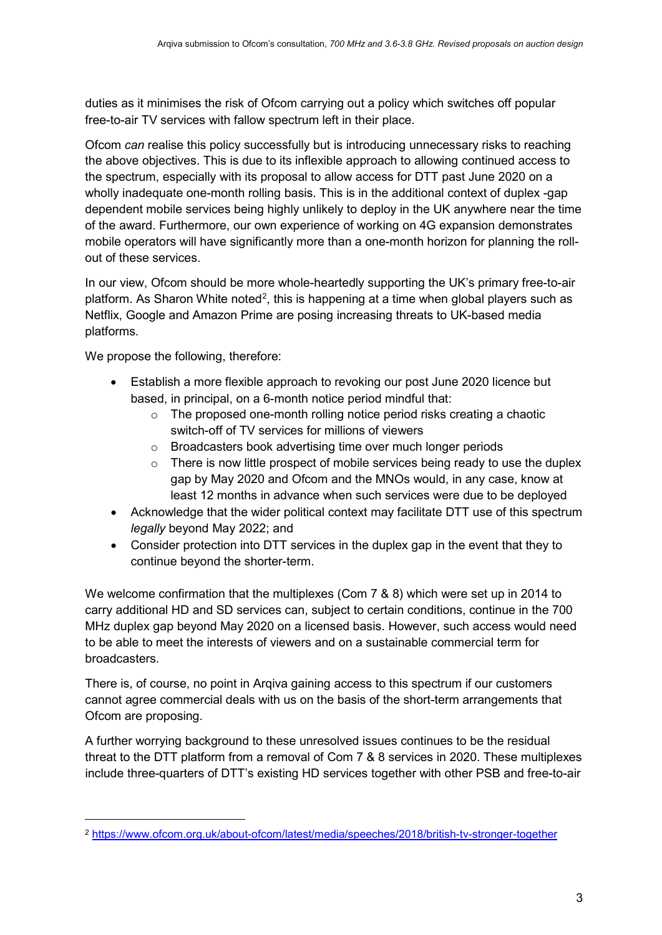duties as it minimises the risk of Ofcom carrying out a policy which switches off popular free-to-air TV services with fallow spectrum left in their place.

Ofcom *can* realise this policy successfully but is introducing unnecessary risks to reaching the above objectives. This is due to its inflexible approach to allowing continued access to the spectrum, especially with its proposal to allow access for DTT past June 2020 on a wholly inadequate one-month rolling basis. This is in the additional context of duplex -gap dependent mobile services being highly unlikely to deploy in the UK anywhere near the time of the award. Furthermore, our own experience of working on 4G expansion demonstrates mobile operators will have significantly more than a one-month horizon for planning the rollout of these services.

In our view, Ofcom should be more whole-heartedly supporting the UK's primary free-to-air platform. As Sharon White noted<sup>[2](#page-2-0)</sup>, this is happening at a time when global players such as Netflix, Google and Amazon Prime are posing increasing threats to UK-based media platforms.

We propose the following, therefore:

-

- Establish a more flexible approach to revoking our post June 2020 licence but based, in principal, on a 6-month notice period mindful that:
	- $\circ$  The proposed one-month rolling notice period risks creating a chaotic switch-off of TV services for millions of viewers
	- o Broadcasters book advertising time over much longer periods
	- o There is now little prospect of mobile services being ready to use the duplex gap by May 2020 and Ofcom and the MNOs would, in any case, know at least 12 months in advance when such services were due to be deployed
- Acknowledge that the wider political context may facilitate DTT use of this spectrum *legally* beyond May 2022; and
- Consider protection into DTT services in the duplex gap in the event that they to continue beyond the shorter-term.

We welcome confirmation that the multiplexes (Com 7 & 8) which were set up in 2014 to carry additional HD and SD services can, subject to certain conditions, continue in the 700 MHz duplex gap beyond May 2020 on a licensed basis. However, such access would need to be able to meet the interests of viewers and on a sustainable commercial term for broadcasters.

There is, of course, no point in Arqiva gaining access to this spectrum if our customers cannot agree commercial deals with us on the basis of the short-term arrangements that Ofcom are proposing.

A further worrying background to these unresolved issues continues to be the residual threat to the DTT platform from a removal of Com 7 & 8 services in 2020. These multiplexes include three-quarters of DTT's existing HD services together with other PSB and free-to-air

<span id="page-2-0"></span><sup>2</sup> <https://www.ofcom.org.uk/about-ofcom/latest/media/speeches/2018/british-tv-stronger-together>